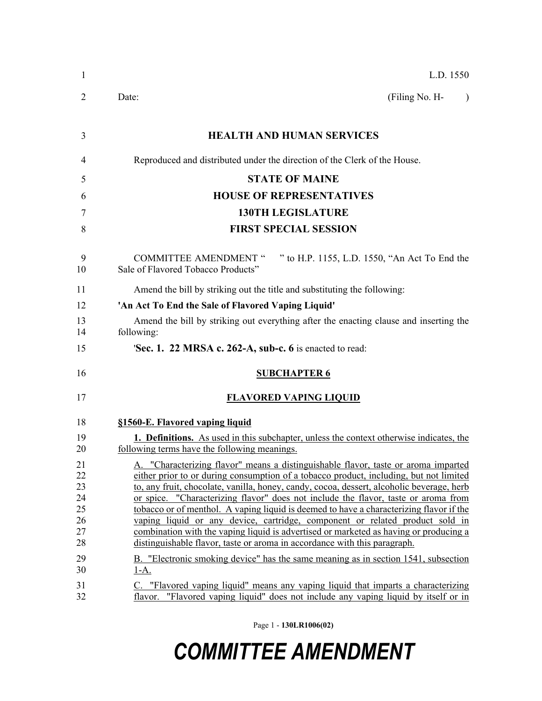| $\mathbf{1}$                                       | L.D. 1550                                                                                                                                                                                                                                                                                                                                                                                                                                                                                                                                                                                                                                                                                                                                                                                              |
|----------------------------------------------------|--------------------------------------------------------------------------------------------------------------------------------------------------------------------------------------------------------------------------------------------------------------------------------------------------------------------------------------------------------------------------------------------------------------------------------------------------------------------------------------------------------------------------------------------------------------------------------------------------------------------------------------------------------------------------------------------------------------------------------------------------------------------------------------------------------|
| 2                                                  | (Filing No. H-<br>Date:                                                                                                                                                                                                                                                                                                                                                                                                                                                                                                                                                                                                                                                                                                                                                                                |
| 3                                                  | <b>HEALTH AND HUMAN SERVICES</b>                                                                                                                                                                                                                                                                                                                                                                                                                                                                                                                                                                                                                                                                                                                                                                       |
| 4                                                  | Reproduced and distributed under the direction of the Clerk of the House.                                                                                                                                                                                                                                                                                                                                                                                                                                                                                                                                                                                                                                                                                                                              |
| 5                                                  | <b>STATE OF MAINE</b>                                                                                                                                                                                                                                                                                                                                                                                                                                                                                                                                                                                                                                                                                                                                                                                  |
| 6                                                  | <b>HOUSE OF REPRESENTATIVES</b>                                                                                                                                                                                                                                                                                                                                                                                                                                                                                                                                                                                                                                                                                                                                                                        |
| 7                                                  | <b>130TH LEGISLATURE</b>                                                                                                                                                                                                                                                                                                                                                                                                                                                                                                                                                                                                                                                                                                                                                                               |
| 8                                                  | <b>FIRST SPECIAL SESSION</b>                                                                                                                                                                                                                                                                                                                                                                                                                                                                                                                                                                                                                                                                                                                                                                           |
| 9<br>10                                            | <b>COMMITTEE AMENDMENT "</b><br>" to H.P. 1155, L.D. 1550, "An Act To End the<br>Sale of Flavored Tobacco Products"                                                                                                                                                                                                                                                                                                                                                                                                                                                                                                                                                                                                                                                                                    |
| 11                                                 | Amend the bill by striking out the title and substituting the following:                                                                                                                                                                                                                                                                                                                                                                                                                                                                                                                                                                                                                                                                                                                               |
| 12                                                 | 'An Act To End the Sale of Flavored Vaping Liquid'                                                                                                                                                                                                                                                                                                                                                                                                                                                                                                                                                                                                                                                                                                                                                     |
| 13<br>14                                           | Amend the bill by striking out everything after the enacting clause and inserting the<br>following:                                                                                                                                                                                                                                                                                                                                                                                                                                                                                                                                                                                                                                                                                                    |
| 15                                                 | 'Sec. 1. 22 MRSA c. 262-A, sub-c. 6 is enacted to read:                                                                                                                                                                                                                                                                                                                                                                                                                                                                                                                                                                                                                                                                                                                                                |
| 16                                                 | <b>SUBCHAPTER 6</b>                                                                                                                                                                                                                                                                                                                                                                                                                                                                                                                                                                                                                                                                                                                                                                                    |
| 17                                                 | <b>FLAVORED VAPING LIQUID</b>                                                                                                                                                                                                                                                                                                                                                                                                                                                                                                                                                                                                                                                                                                                                                                          |
| 18                                                 | §1560-E. Flavored vaping liquid                                                                                                                                                                                                                                                                                                                                                                                                                                                                                                                                                                                                                                                                                                                                                                        |
| 19<br>20                                           | 1. Definitions. As used in this subchapter, unless the context otherwise indicates, the<br>following terms have the following meanings.                                                                                                                                                                                                                                                                                                                                                                                                                                                                                                                                                                                                                                                                |
| 21<br>22<br>23<br>24<br>25<br>26<br>27<br>28<br>29 | A. "Characterizing flavor" means a distinguishable flavor, taste or aroma imparted<br>either prior to or during consumption of a tobacco product, including, but not limited<br>to, any fruit, chocolate, vanilla, honey, candy, cocoa, dessert, alcoholic beverage, herb<br>or spice. "Characterizing flavor" does not include the flavor, taste or aroma from<br>tobacco or of menthol. A vaping liquid is deemed to have a characterizing flavor if the<br>vaping liquid or any device, cartridge, component or related product sold in<br>combination with the vaping liquid is advertised or marketed as having or producing a<br>distinguishable flavor, taste or aroma in accordance with this paragraph.<br>B. "Electronic smoking device" has the same meaning as in section 1541, subsection |
| 30<br>31<br>32                                     | <u>1-A.</u><br>C. "Flavored vaping liquid" means any vaping liquid that imparts a characterizing<br>flavor. "Flavored vaping liquid" does not include any vaping liquid by itself or in                                                                                                                                                                                                                                                                                                                                                                                                                                                                                                                                                                                                                |

Page 1 - **130LR1006(02)**

## *COMMITTEE AMENDMENT*